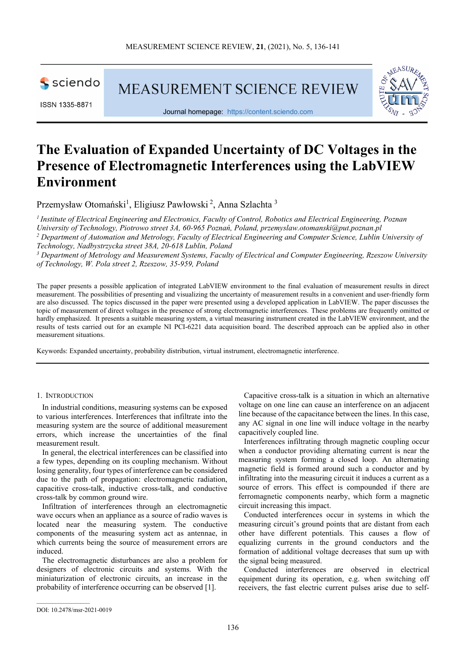

MEASUREMENT SCIENCE REVIEW



Journal homepage: [https://content.sciendo.com](https://content.sciendo.com/view/journals/msr/msr-overview.xml)

# **The Evaluation of Expanded Uncertainty of DC Voltages in the Presence of Electromagnetic Interferences using the LabVIEW Environment**

Przemysław Otomański<sup>1</sup>, Eligiusz Pawłowski<sup>2</sup>, Anna Szlachta<sup>3</sup>

*<sup>1</sup> Institute of Electrical Engineering and Electronics, Faculty of Control, Robotics and Electrical Engineering, Poznan University of Technology, Piotrowo street 3A, 60-965 Poznań, Poland, przemyslaw.otomanski@put.poznan.pl <sup>2</sup> Department of Automation and Metrology, Faculty of Electrical Engineering and Computer Science, Lublin University of Technology, Nadbystrzycka street 38A, 20-618 Lublin, Poland* 

*<sup>3</sup> Department of Metrology and Measurement Systems, Faculty of Electrical and Computer Engineering, Rzeszow University of Technology, W. Pola street 2, Rzeszow, 35-959, Poland* 

The paper presents a possible application of integrated LabVIEW environment to the final evaluation of measurement results in direct measurement. The possibilities of presenting and visualizing the uncertainty of measurement results in a convenient and user-friendly form are also discussed. The topics discussed in the paper were presented using a developed application in LabVIEW. The paper discusses the topic of measurement of direct voltages in the presence of strong electromagnetic interferences. These problems are frequently omitted or hardly emphasized. It presents a suitable measuring system, a virtual measuring instrument created in the LabVIEW environment, and the results of tests carried out for an example NI PCI-6221 data acquisition board. The described approach can be applied also in other measurement situations.

Keywords: Expanded uncertainty, probability distribution, virtual instrument, electromagnetic interference.

# 1. INTRODUCTION

In industrial conditions, measuring systems can be exposed to various interferences. Interferences that infiltrate into the measuring system are the source of additional measurement errors, which increase the uncertainties of the final measurement result.

In general, the electrical interferences can be classified into a few types, depending on its coupling mechanism. Without losing generality, four types of interference can be considered due to the path of propagation: electromagnetic radiation, capacitive cross-talk, inductive cross-talk, and conductive cross-talk by common ground wire.

Infiltration of interferences through an electromagnetic wave occurs when an appliance as a source of radio waves is located near the measuring system. The conductive components of the measuring system act as antennae, in which currents being the source of measurement errors are induced.

The electromagnetic disturbances are also a problem for designers of electronic circuits and systems. With the miniaturization of electronic circuits, an increase in the probability of interference occurring can be observed [1].

Capacitive cross-talk is a situation in which an alternative voltage on one line can cause an interference on an adjacent line because of the capacitance between the lines. In this case, any AC signal in one line will induce voltage in the nearby capacitively coupled line.

Interferences infiltrating through magnetic coupling occur when a conductor providing alternating current is near the measuring system forming a closed loop. An alternating magnetic field is formed around such a conductor and by infiltrating into the measuring circuit it induces a current as a source of errors. This effect is compounded if there are ferromagnetic components nearby, which form a magnetic circuit increasing this impact.

Conducted interferences occur in systems in which the measuring circuit's ground points that are distant from each other have different potentials. This causes a flow of equalizing currents in the ground conductors and the formation of additional voltage decreases that sum up with the signal being measured.

Conducted interferences are observed in electrical equipment during its operation, e.g. when switching off receivers, the fast electric current pulses arise due to self-

 $\mathcal{L}_\text{max}$  and  $\mathcal{L}_\text{max}$  and  $\mathcal{L}_\text{max}$ 

DOI: 10.2478/msr-2021-0019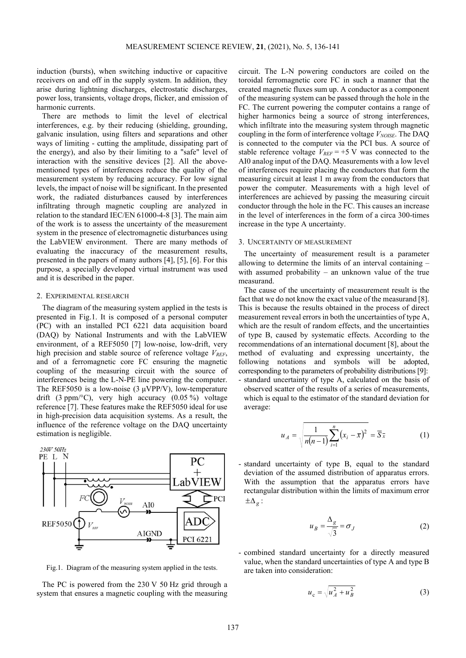induction (bursts), when switching inductive or capacitive receivers on and off in the supply system. In addition, they arise during lightning discharges, electrostatic discharges, power loss, transients, voltage drops, flicker, and emission of harmonic currents.

There are methods to limit the level of electrical interferences, e.g. by their reducing (shielding, grounding, galvanic insulation, using filters and separations and other ways of limiting - cutting the amplitude, dissipating part of the energy), and also by their limiting to a "safe" level of interaction with the sensitive devices [2]. All the abovementioned types of interferences reduce the quality of the measurement system by reducing accuracy. For low signal levels, the impact of noise will be significant. In the presented work, the radiated disturbances caused by interferences infiltrating through magnetic coupling are analyzed in relation to the standard IEC/EN 61000-4-8 [3]. The main aim of the work is to assess the uncertainty of the measurement system in the presence of electromagnetic disturbances using the LabVIEW environment. There are many methods of evaluating the inaccuracy of the measurement results, presented in the papers of many authors [4], [5], [6]. For this purpose, a specially developed virtual instrument was used and it is described in the paper.

## 2. EXPERIMENTAL RESEARCH

The diagram of the measuring system applied in the tests is presented in Fig.1. It is composed of a personal computer (PC) with an installed PCI 6221 data acquisition board (DAQ) by National Instruments and with the LabVIEW environment, of a REF5050 [7] low-noise, low-drift, very high precision and stable source of reference voltage  $V_{REF}$ , and of a ferromagnetic core FC ensuring the magnetic coupling of the measuring circuit with the source of interferences being the L-N-PE line powering the computer. The REF5050 is a low-noise (3  $\mu$ VPP/V), low-temperature drift (3 ppm/ $^{\circ}$ C), very high accuracy (0.05 %) voltage reference [7]. These features make the REF5050 ideal for use in high-precision data acquisition systems. As a result, the influence of the reference voltage on the DAQ uncertainty estimation is negligible.



Fig.1. Diagram of the measuring system applied in the tests.

The PC is powered from the 230 V 50 Hz grid through a system that ensures a magnetic coupling with the measuring circuit. The L-N powering conductors are coiled on the toroidal ferromagnetic core FC in such a manner that the created magnetic fluxes sum up. A conductor as a component of the measuring system can be passed through the hole in the FC. The current powering the computer contains a range of higher harmonics being a source of strong interferences, which infiltrate into the measuring system through magnetic coupling in the form of interference voltage *VNOISE*. The DAQ is connected to the computer via the PCI bus. A source of stable reference voltage  $V_{REF}$  = +5 V was connected to the AI0 analog input of the DAQ. Measurements with a low level of interferences require placing the conductors that form the measuring circuit at least 1 m away from the conductors that power the computer. Measurements with a high level of interferences are achieved by passing the measuring circuit conductor through the hole in the FC. This causes an increase in the level of interferences in the form of a circa 300-times increase in the type A uncertainty.

#### 3. UNCERTAINTY OF MEASUREMENT

The uncertainty of measurement result is a parameter allowing to determine the limits of an interval containing – with assumed probability – an unknown value of the true measurand.

The cause of the uncertainty of measurement result is the fact that we do not know the exact value of the measurand [8]. This is because the results obtained in the process of direct measurement reveal errors in both the uncertainties of type A, which are the result of random effects, and the uncertainties of type B, caused by systematic effects. According to the recommendations of an international document [8], about the method of evaluating and expressing uncertainty, the following notations and symbols will be adopted, corresponding to the parameters of probability distributions [9]: - standard uncertainty of type A, calculated on the basis of observed scatter of the results of a series of measurements, which is equal to the estimator of the standard deviation for average:

$$
u_A = \sqrt{\frac{1}{n(n-1)} \sum_{i=1}^{n} (x_i - \bar{x})^2} = \bar{S}_{\bar{x}} \tag{1}
$$

- standard uncertainty of type B, equal to the standard deviation of the assumed distribution of apparatus errors. With the assumption that the apparatus errors have rectangular distribution within the limits of maximum error  $\pm\Delta$ <sub>*g*</sub> :

$$
u_B = \frac{\Delta_g}{\sqrt{3}} = \sigma_J \tag{2}
$$

- combined standard uncertainty for a directly measured value, when the standard uncertainties of type A and type B are taken into consideration:

$$
u_{\rm c} = \sqrt{u_A^2 + u_B^2} \tag{3}
$$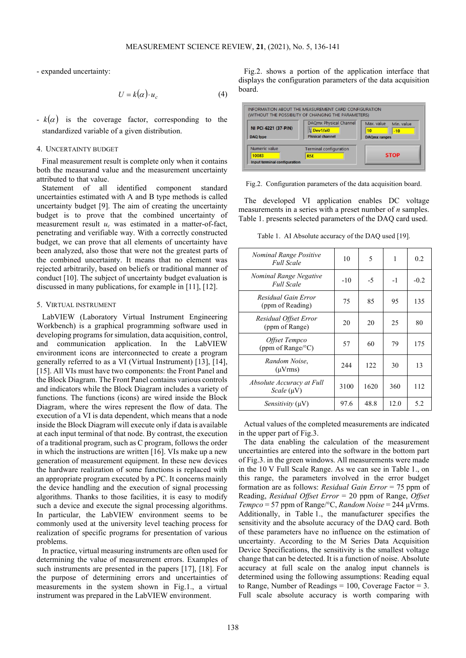- expanded uncertainty:

$$
U = k(\alpha) \cdot u_c \tag{4}
$$

 $-k(\alpha)$  is the coverage factor, corresponding to the standardized variable of a given distribution.

#### 4. UNCERTAINTY BUDGET

Final measurement result is complete only when it contains both the measurand value and the measurement uncertainty attributed to that value.

Statement of all identified component standard uncertainties estimated with A and B type methods is called uncertainty budget [9]. The aim of creating the uncertainty budget is to prove that the combined uncertainty of measurement result *uc* was estimated in a matter-of-fact, penetrating and verifiable way. With a correctly constructed budget, we can prove that all elements of uncertainty have been analyzed, also those that were not the greatest parts of the combined uncertainty. It means that no element was rejected arbitrarily, based on beliefs or traditional manner of conduct [10]. The subject of uncertainty budget evaluation is discussed in many publications, for example in [11], [12].

# 5. VIRTUAL INSTRUMENT

LabVIEW (Laboratory Virtual Instrument Engineering Workbench) is a graphical programming software used in developing programs for simulation, data acquisition, control, and communication application. In the LabVIEW environment icons are interconnected to create a program generally referred to as a VI (Virtual Instrument) [13], [14], [15]. All VIs must have two components: the Front Panel and the Block Diagram. The Front Panel contains various controls and indicators while the Block Diagram includes a variety of functions. The functions (icons) are wired inside the Block Diagram, where the wires represent the flow of data. The execution of a VI is data dependent, which means that a node inside the Block Diagram will execute only if data is available at each input terminal of that node. By contrast, the execution of a traditional program, such as C program, follows the order in which the instructions are written [16]. VIs make up a new generation of measurement equipment. In these new devices the hardware realization of some functions is replaced with an appropriate program executed by a PC. It concerns mainly the device handling and the execution of signal processing algorithms. Thanks to those facilities, it is easy to modify such a device and execute the signal processing algorithms. In particular, the LabVIEW environment seems to be commonly used at the university level teaching process for realization of specific programs for presentation of various problems.

In practice, virtual measuring instruments are often used for determining the value of measurement errors. Examples of such instruments are presented in the papers [17], [18]. For the purpose of determining errors and uncertainties of measurements in the system shown in Fig.1., a virtual instrument was prepared in the LabVIEW environment.

Fig.2. shows a portion of the application interface that displays the configuration parameters of the data acquisition board.

|                      | <b>DAQmx Physical Channel</b> | Max. value          | Min. value |
|----------------------|-------------------------------|---------------------|------------|
| NI PCI-6221 (37-PIN) | $\frac{1}{6}$ Dev1/ai0        | 10                  | $-10$      |
| <b>DAQ</b> type      | <b>Phisical channel</b>       | <b>DAQmx</b> ranges |            |
| Numeric value        | <b>Terminal configuration</b> |                     |            |
|                      |                               | <b>STOP</b>         |            |

Fig.2. Configuration parameters of the data acquisition board.

The developed VI application enables DC voltage measurements in a series with a preset number of *n* samples. Table 1. presents selected parameters of the DAQ card used.

Table 1. AI Absolute accuracy of the DAQ used [19].

| Nominal Range Positive<br><b>Full Scale</b> | 10    | 5    | 1    | 0.2    |
|---------------------------------------------|-------|------|------|--------|
| Nominal Range Negative<br><b>Full Scale</b> | $-10$ | $-5$ | $-1$ | $-0.2$ |
| Residual Gain Error<br>(ppm of Reading)     | 75    | 85   | 95   | 135    |
| Residual Offset Error<br>(ppm of Range)     | 20    | 20   | 25   | 80     |
| Offset Tempco<br>(ppm of Range/°C)          | 57    | 60   | 79   | 175    |
| Random Noise,<br>$(\mu Vrms)$               | 2.44  | 122  | 30   | 13     |
| Absolute Accuracy at Full<br>Scale (µV)     | 3100  | 1620 | 360  | 112    |
| Sensitivity (uV)                            | 97.6  | 48.8 | 12.0 | 5.2    |

Actual values of the completed measurements are indicated in the upper part of Fig.3.

The data enabling the calculation of the measurement uncertainties are entered into the software in the bottom part of Fig.3. in the green windows. All measurements were made in the 10 V Full Scale Range. As we can see in Table 1., on this range, the parameters involved in the error budget formation are as follows: *Residual Gain Error* = 75 ppm of Reading, *Residual Offset Error* = 20 ppm of Range, *Offset Tempco* = 57 ppm of Range/°C, *Random Noise* = 244 μVrms. Additionally, in Table 1., the manufacturer specifies the sensitivity and the absolute accuracy of the DAQ card. Both of these parameters have no influence on the estimation of uncertainty. According to the M Series Data Acquisition Device Specifications, the sensitivity is the smallest voltage change that can be detected. It is a function of noise. Absolute accuracy at full scale on the analog input channels is determined using the following assumptions: Reading equal to Range, Number of Readings =  $100$ , Coverage Factor = 3. Full scale absolute accuracy is worth comparing with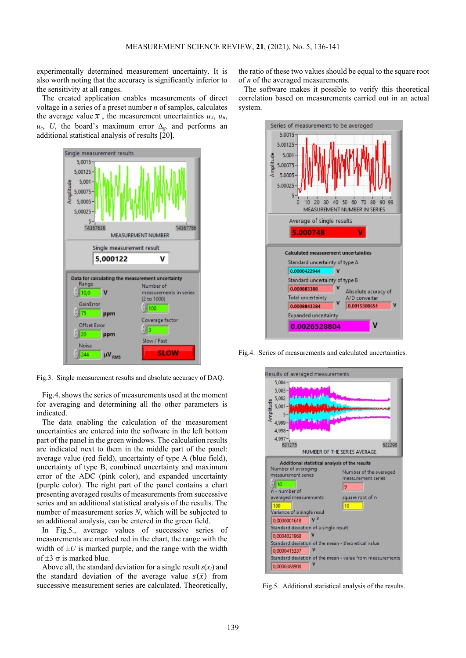experimentally determined measurement uncertainty. It is also worth noting that the accuracy is significantly inferior to the sensitivity at all ranges.

The created application enables measurements of direct voltage in a series of a preset number *n* of samples, calculates the average value  $\bar{x}$ , the measurement uncertainties  $u_A$ ,  $u_B$ ,  $u_c$ , *U*, the board's maximum error  $\Delta_g$ , and performs an additional statistical analysis of results [20].



Fig.3. Single measurement results and absolute accuracy of DAQ.

Fig.4. shows the series of measurements used at the moment for averaging and determining all the other parameters is indicated.

The data enabling the calculation of the measurement uncertainties are entered into the software in the left bottom part of the panel in the green windows. The calculation results are indicated next to them in the middle part of the panel: average value (red field), uncertainty of type A (blue field), uncertainty of type B, combined uncertainty and maximum error of the ADC (pink color), and expanded uncertainty (purple color). The right part of the panel contains a chart presenting averaged results of measurements from successive series and an additional statistical analysis of the results. The number of measurement series *N*, which will be subjected to an additional analysis, can be entered in the green field.

In Fig.5., average values of successive series of measurements are marked red in the chart, the range with the width of  $\pm U$  is marked purple, and the range with the width of  $\pm 3$   $\sigma$  is marked blue.

Above all, the standard deviation for a single result  $s(x_i)$  and the standard deviation of the average value  $s(\bar{x})$  from successive measurement series are calculated. Theoretically,

the ratio of these two values should be equal to the square root of *n* of the averaged measurements.

The software makes it possible to verify this theoretical correlation based on measurements carried out in an actual system.



Fig.4. Series of measurements and calculated uncertainties.



Fig.5. Additional statistical analysis of the results.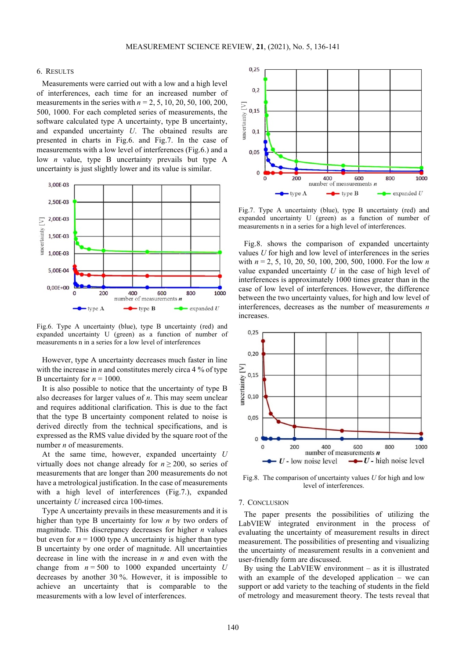## 6. RESULTS

Measurements were carried out with a low and a high level of interferences, each time for an increased number of measurements in the series with *n* = 2, 5, 10, 20, 50, 100, 200, 500, 1000. For each completed series of measurements, the software calculated type A uncertainty, type B uncertainty, and expanded uncertainty *U*. The obtained results are presented in charts in Fig.6. and Fig.7. In the case of measurements with a low level of interferences (Fig.6.) and a low *n* value, type B uncertainty prevails but type A uncertainty is just slightly lower and its value is similar.



Fig.6. Type A uncertainty (blue), type B uncertainty (red) and expanded uncertainty U (green) as a function of number of measurements n in a series for a low level of interferences

However, type A uncertainty decreases much faster in line with the increase in *n* and constitutes merely circa 4 % of type B uncertainty for  $n = 1000$ .

It is also possible to notice that the uncertainty of type B also decreases for larger values of *n*. This may seem unclear and requires additional clarification. This is due to the fact that the type B uncertainty component related to noise is derived directly from the technical specifications, and is expressed as the RMS value divided by the square root of the number *n* of measurements.

At the same time, however, expanded uncertainty *U* virtually does not change already for  $n \ge 200$ , so series of measurements that are longer than 200 measurements do not have a metrological justification. In the case of measurements with a high level of interferences (Fig. 7.), expanded uncertainty *U* increased circa 100-times.

Type A uncertainty prevails in these measurements and it is higher than type B uncertainty for low *n* by two orders of magnitude. This discrepancy decreases for higher *n* values but even for  $n = 1000$  type A uncertainty is higher than type B uncertainty by one order of magnitude. All uncertainties decrease in line with the increase in *n* and even with the change from  $n = 500$  to 1000 expanded uncertainty *U* decreases by another 30 %. However, it is impossible to achieve an uncertainty that is comparable to the measurements with a low level of interferences.



Fig.7. Type A uncertainty (blue), type B uncertainty (red) and expanded uncertainty U (green) as a function of number of measurements n in a series for a high level of interferences.

Fig.8. shows the comparison of expanded uncertainty values *U* for high and low level of interferences in the series with *n* = 2, 5, 10, 20, 50, 100, 200, 500, 1000. For the low *n* value expanded uncertainty *U* in the case of high level of interferences is approximately 1000 times greater than in the case of low level of interferences. However, the difference between the two uncertainty values, for high and low level of interferences, decreases as the number of measurements *n* increases.



Fig.8. The comparison of uncertainty values *U* for high and low level of interferences.

#### 7. CONCLUSION

The paper presents the possibilities of utilizing the LabVIEW integrated environment in the process of evaluating the uncertainty of measurement results in direct measurement. The possibilities of presenting and visualizing the uncertainty of measurement results in a convenient and user-friendly form are discussed.

By using the LabVIEW environment  $-$  as it is illustrated with an example of the developed application – we can support or add variety to the teaching of students in the field of metrology and measurement theory. The tests reveal that